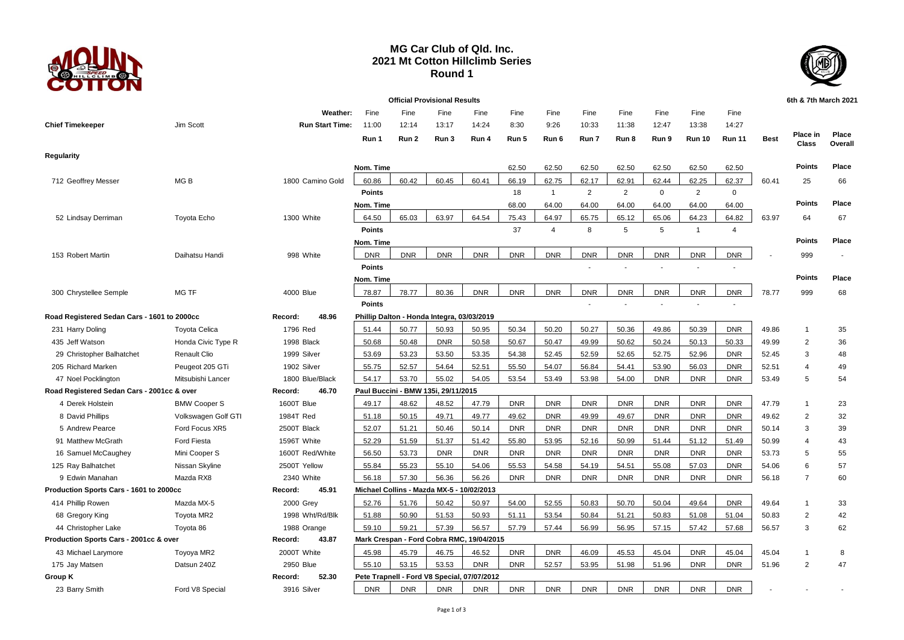

## **MG Car Club of Qld. Inc. 2021 Mt Cotton Hillclimb Series Round 1**



| <b>Official Provisional Results</b>         |                      |                        |               |            |                                            |                                             |            |                |                |                |              |                |                          |             | 6th & 7th March 2021 |                  |
|---------------------------------------------|----------------------|------------------------|---------------|------------|--------------------------------------------|---------------------------------------------|------------|----------------|----------------|----------------|--------------|----------------|--------------------------|-------------|----------------------|------------------|
|                                             |                      | Weather:               | Fine          | Fine       | Fine                                       | Fine                                        | Fine       | Fine           | Fine           | Fine           | Fine         | Fine           | Fine                     |             |                      |                  |
| <b>Chief Timekeeper</b>                     | Jim Scott            | <b>Run Start Time:</b> | 11:00         | 12:14      | 13:17                                      | 14:24                                       | 8:30       | 9:26           | 10:33          | 11:38          | 12:47        | 13:38          | 14:27                    |             |                      |                  |
|                                             |                      |                        | Run 1         | Run 2      | Run 3                                      | Run 4                                       | Run 5      | Run 6          | Run 7          | Run 8          | Run 9        | <b>Run 10</b>  | <b>Run 11</b>            | <b>Best</b> | Place in<br>Class    | Place<br>Overall |
| Regularity                                  |                      |                        |               |            |                                            |                                             |            |                |                |                |              |                |                          |             |                      |                  |
|                                             |                      |                        | Nom. Time     |            |                                            |                                             | 62.50      | 62.50          | 62.50          | 62.50          | 62.50        | 62.50          | 62.50                    |             | <b>Points</b>        | Place            |
| 712 Geoffrey Messer                         | MG <sub>B</sub>      | 1800 Camino Gold       | 60.86         | 60.42      | 60.45                                      | 60.41                                       | 66.19      | 62.75          | 62.17          | 62.91          | 62.44        | 62.25          | 62.37                    | 60.41       | 25                   | 66               |
|                                             |                      |                        | <b>Points</b> |            |                                            |                                             | 18         | $\mathbf{1}$   | $\overline{2}$ | $\overline{2}$ | $\mathbf{0}$ | $\overline{2}$ | $\mathbf 0$              |             |                      |                  |
|                                             |                      |                        | Nom. Time     |            |                                            |                                             | 68.00      | 64.00          | 64.00          | 64.00          | 64.00        | 64.00          | 64.00                    |             | <b>Points</b>        | Place            |
| 52 Lindsay Derriman                         | <b>Toyota Echo</b>   | 1300 White             | 64.50         | 65.03      | 63.97                                      | 64.54                                       | 75.43      | 64.97          | 65.75          | 65.12          | 65.06        | 64.23          | 64.82                    | 63.97       | 64                   | 67               |
|                                             |                      |                        | <b>Points</b> |            |                                            |                                             | 37         | $\overline{4}$ | 8              | 5              | 5            | $\overline{1}$ | $\overline{4}$           |             |                      |                  |
|                                             |                      |                        | Nom. Time     |            |                                            |                                             |            |                |                |                |              |                |                          |             | <b>Points</b>        | Place            |
| 153 Robert Martin                           | Daihatsu Handi       | 998 White              | <b>DNR</b>    | <b>DNR</b> | <b>DNR</b>                                 | <b>DNR</b>                                  | <b>DNR</b> | <b>DNR</b>     | <b>DNR</b>     | <b>DNR</b>     | <b>DNR</b>   | <b>DNR</b>     | <b>DNR</b>               |             | 999                  |                  |
|                                             |                      |                        | <b>Points</b> |            |                                            |                                             |            |                |                |                |              |                |                          |             |                      |                  |
|                                             |                      |                        | Nom. Time     |            |                                            |                                             |            |                |                |                |              |                |                          |             | <b>Points</b>        | Place            |
| 300 Chrystellee Semple                      | MG TF                | 4000 Blue              | 78.87         | 78.77      | 80.36                                      | <b>DNR</b>                                  | <b>DNR</b> | <b>DNR</b>     | <b>DNR</b>     | <b>DNR</b>     | <b>DNR</b>   | <b>DNR</b>     | <b>DNR</b>               | 78.77       | 999                  | 68               |
|                                             |                      |                        | <b>Points</b> |            |                                            |                                             |            |                |                |                |              | $\blacksquare$ | $\overline{\phantom{a}}$ |             |                      |                  |
| Road Registered Sedan Cars - 1601 to 2000cc |                      | 48.96<br>Record:       |               |            | Phillip Dalton - Honda Integra, 03/03/2019 |                                             |            |                |                |                |              |                |                          |             |                      |                  |
| 231 Harry Doling                            | <b>Toyota Celica</b> | 1796 Red               | 51.44         | 50.77      | 50.93                                      | 50.95                                       | 50.34      | 50.20          | 50.27          | 50.36          | 49.86        | 50.39          | <b>DNR</b>               | 49.86       | $\mathbf{1}$         | 35               |
| 435 Jeff Watson                             | Honda Civic Type R   | 1998 Black             | 50.68         | 50.48      | <b>DNR</b>                                 | 50.58                                       | 50.67      | 50.47          | 49.99          | 50.62          | 50.24        | 50.13          | 50.33                    | 49.99       | $\overline{2}$       | 36               |
| 29 Christopher Balhatchet                   | Renault Clio         | 1999 Silver            | 53.69         | 53.23      | 53.50                                      | 53.35                                       | 54.38      | 52.45          | 52.59          | 52.65          | 52.75        | 52.96          | <b>DNR</b>               | 52.45       | 3                    | 48               |
| 205 Richard Marken                          | Peugeot 205 GTi      | 1902 Silver            | 55.75         | 52.57      | 54.64                                      | 52.51                                       | 55.50      | 54.07          | 56.84          | 54.41          | 53.90        | 56.03          | <b>DNR</b>               | 52.51       | 4                    | 49               |
| 47 Noel Pocklington                         | Mitsubishi Lancer    | 1800 Blue/Black        | 54.17         | 53.70      | 55.02                                      | 54.05                                       | 53.54      | 53.49          | 53.98          | 54.00          | <b>DNR</b>   | <b>DNR</b>     | <b>DNR</b>               | 53.49       | 5                    | 54               |
| Road Registered Sedan Cars - 2001cc & over  |                      | 46.70<br>Record:       |               |            | Paul Buccini - BMW 135i, 29/11/2015        |                                             |            |                |                |                |              |                |                          |             |                      |                  |
| 4 Derek Holstein                            | <b>BMW Cooper S</b>  | 1600T Blue             | 49.17         | 48.62      | 48.52                                      | 47.79                                       | <b>DNR</b> | <b>DNR</b>     | <b>DNR</b>     | <b>DNR</b>     | <b>DNR</b>   | <b>DNR</b>     | <b>DNR</b>               | 47.79       | $\mathbf{1}$         | 23               |
| 8 David Phillips                            | Volkswagen Golf GTI  | 1984T Red              | 51.18         | 50.15      | 49.71                                      | 49.77                                       | 49.62      | <b>DNR</b>     | 49.99          | 49.67          | <b>DNR</b>   | <b>DNR</b>     | <b>DNR</b>               | 49.62       | $\overline{2}$       | 32               |
| 5 Andrew Pearce                             | Ford Focus XR5       | 2500T Black            | 52.07         | 51.21      | 50.46                                      | 50.14                                       | <b>DNR</b> | <b>DNR</b>     | <b>DNR</b>     | <b>DNR</b>     | <b>DNR</b>   | <b>DNR</b>     | <b>DNR</b>               | 50.14       | 3                    | 39               |
| 91 Matthew McGrath                          | <b>Ford Fiesta</b>   | 1596T White            | 52.29         | 51.59      | 51.37                                      | 51.42                                       | 55.80      | 53.95          | 52.16          | 50.99          | 51.44        | 51.12          | 51.49                    | 50.99       | $\overline{4}$       | 43               |
| 16 Samuel McCaughey                         | Mini Cooper S        | 1600T Red/White        | 56.50         | 53.73      | <b>DNR</b>                                 | <b>DNR</b>                                  | <b>DNR</b> | <b>DNR</b>     | <b>DNR</b>     | <b>DNR</b>     | <b>DNR</b>   | <b>DNR</b>     | <b>DNR</b>               | 53.73       | 5                    | 55               |
| 125 Ray Balhatchet                          | Nissan Skyline       | 2500T Yellow           | 55.84         | 55.23      | 55.10                                      | 54.06                                       | 55.53      | 54.58          | 54.19          | 54.51          | 55.08        | 57.03          | <b>DNR</b>               | 54.06       | 6                    | 57               |
| 9 Edwin Manahan                             | Mazda RX8            | 2340 White             | 56.18         | 57.30      | 56.36                                      | 56.26                                       | <b>DNR</b> | <b>DNR</b>     | <b>DNR</b>     | <b>DNR</b>     | <b>DNR</b>   | <b>DNR</b>     | <b>DNR</b>               | 56.18       | $\overline{7}$       | 60               |
| Production Sports Cars - 1601 to 2000cc     |                      | 45.91<br>Record:       |               |            | Michael Collins - Mazda MX-5 - 10/02/2013  |                                             |            |                |                |                |              |                |                          |             |                      |                  |
| 414 Phillip Rowen                           | Mazda MX-5           | 2000 Grey              | 52.76         | 51.76      | 50.42                                      | 50.97                                       | 54.00      | 52.55          | 50.83          | 50.70          | 50.04        | 49.64          | <b>DNR</b>               | 49.64       | $\overline{1}$       | 33               |
| 68 Gregory King                             | Toyota MR2           | 1998 Wht/Rd/Blk        | 51.88         | 50.90      | 51.53                                      | 50.93                                       | 51.11      | 53.54          | 50.84          | 51.21          | 50.83        | 51.08          | 51.04                    | 50.83       | $\overline{2}$       | 42               |
| 44 Christopher Lake                         | Toyota 86            | 1988 Orange            | 59.10         | 59.21      | 57.39                                      | 56.57                                       | 57.79      | 57.44          | 56.99          | 56.95          | 57.15        | 57.42          | 57.68                    | 56.57       | 3                    | 62               |
| Production Sports Cars - 2001cc & over      |                      | 43.87<br>Record:       |               |            |                                            | Mark Crespan - Ford Cobra RMC, 19/04/2015   |            |                |                |                |              |                |                          |             |                      |                  |
| 43 Michael Larymore                         | Toyoya MR2           | 2000T White            | 45.98         | 45.79      | 46.75                                      | 46.52                                       | <b>DNR</b> | <b>DNR</b>     | 46.09          | 45.53          | 45.04        | <b>DNR</b>     | 45.04                    | 45.04       | $\mathbf{1}$         | 8                |
| 175 Jay Matsen                              | Datsun 240Z          | 2950 Blue              | 55.10         | 53.15      | 53.53                                      | <b>DNR</b>                                  | <b>DNR</b> | 52.57          | 53.95          | 51.98          | 51.96        | <b>DNR</b>     | <b>DNR</b>               | 51.96       | $\overline{2}$       | 47               |
| Group K                                     |                      | 52.30<br>Record:       |               |            |                                            | Pete Trapnell - Ford V8 Special, 07/07/2012 |            |                |                |                |              |                |                          |             |                      |                  |
| 23 Barry Smith                              | Ford V8 Special      | 3916 Silver            | <b>DNR</b>    | <b>DNR</b> | <b>DNR</b>                                 | <b>DNR</b>                                  | <b>DNR</b> | <b>DNR</b>     | <b>DNR</b>     | <b>DNR</b>     | <b>DNR</b>   | <b>DNR</b>     | <b>DNR</b>               |             |                      |                  |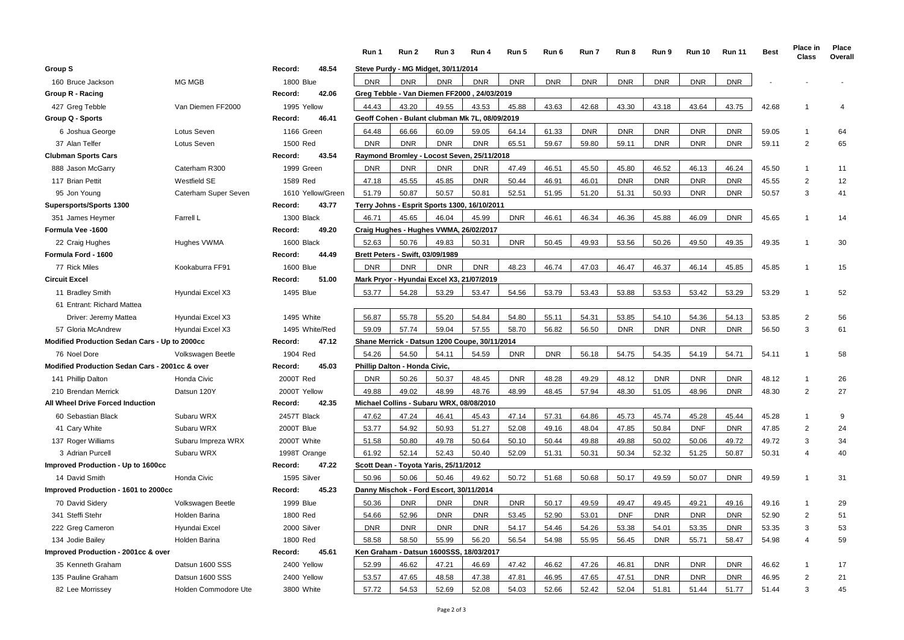|                                                |                      |                   | Run 1      | Run 2                            | Run 3                                          | Run 4               | Run 5      | Run 6      | Run 7      | Run 8      | Run 9      | <b>Run 10</b> | <b>Run 11</b> | <b>Best</b> | Place in<br>Class | Place<br>Overall |
|------------------------------------------------|----------------------|-------------------|------------|----------------------------------|------------------------------------------------|---------------------|------------|------------|------------|------------|------------|---------------|---------------|-------------|-------------------|------------------|
| Group S                                        |                      | Record:<br>48.54  |            |                                  | Steve Purdy - MG Midget, 30/11/2014            |                     |            |            |            |            |            |               |               |             |                   |                  |
| 160 Bruce Jackson                              | MG MGB               | <b>1800 Blue</b>  | <b>DNR</b> | <b>DNR</b>                       | <b>DNR</b>                                     | <b>DNR</b>          | <b>DNR</b> | <b>DNR</b> | <b>DNR</b> | <b>DNR</b> | <b>DNR</b> | <b>DNR</b>    | <b>DNR</b>    |             |                   |                  |
| Group R - Racing                               |                      | 42.06<br>Record:  |            |                                  | Greg Tebble - Van Diemen FF2000, 24/03/2019    |                     |            |            |            |            |            |               |               |             |                   |                  |
| 427 Greg Tebble                                | Van Diemen FF2000    | 1995 Yellow       | 44.43      | 43.20                            | 49.55                                          | 43.53               | 45.88      | 43.63      | 42.68      | 43.30      | 43.18      | 43.64         | 43.75         | 42.68       | -1                | 4                |
| Group Q - Sports                               |                      | Record:<br>46.41  |            |                                  | Geoff Cohen - Bulant clubman Mk 7L, 08/09/2019 |                     |            |            |            |            |            |               |               |             |                   |                  |
| 6 Joshua George                                | Lotus Seven          | 1166 Green        | 64.48      | 66.66                            | 60.09                                          | 59.05               | 64.14      | 61.33      | <b>DNR</b> | <b>DNR</b> | <b>DNR</b> | <b>DNR</b>    | <b>DNR</b>    | 59.05       | $\mathbf{1}$      | 64               |
| 37 Alan Telfer                                 | Lotus Seven          | 1500 Red          | <b>DNR</b> | <b>DNR</b>                       | <b>DNR</b>                                     | <b>DNR</b>          | 65.51      | 59.67      | 59.80      | 59.11      | <b>DNR</b> | <b>DNR</b>    | <b>DNR</b>    | 59.11       | $\overline{2}$    | 65               |
| <b>Clubman Sports Cars</b>                     |                      | 43.54<br>Record:  |            |                                  | Raymond Bromley - Locost Seven, 25/11/2018     |                     |            |            |            |            |            |               |               |             |                   |                  |
| 888 Jason McGarry                              | Caterham R300        | 1999 Green        | <b>DNR</b> | <b>DNR</b>                       | <b>DNR</b>                                     | <b>DNR</b>          | 47.49      | 46.51      | 45.50      | 45.80      | 46.52      | 46.13         | 46.24         | 45.50       | $\mathbf{1}$      | 11               |
| 117 Brian Pettit                               | Westfield SE         | 1589 Red          | 47.18      | 45.55                            | 45.85                                          | <b>DNR</b>          | 50.44      | 46.91      | 46.01      | <b>DNR</b> | <b>DNR</b> | <b>DNR</b>    | <b>DNR</b>    | 45.55       | $\overline{2}$    | 12               |
| 95 Jon Young                                   | Caterham Super Seven | 1610 Yellow/Green | 51.79      | 50.87                            | 50.57                                          | 50.81               | 52.51      | 51.95      | 51.20      | 51.31      | 50.93      | <b>DNR</b>    | <b>DNR</b>    | 50.57       | 3                 | 41               |
| Supersports/Sports 1300                        |                      | 43.77<br>Record:  |            |                                  | Terry Johns - Esprit Sports 1300, 16/10/2011   |                     |            |            |            |            |            |               |               |             |                   |                  |
| 351 James Heymer                               | Farrell L            | 1300 Black        | 46.71      | 45.65                            | 46.04                                          | 45.99               | <b>DNR</b> | 46.61      | 46.34      | 46.36      | 45.88      | 46.09         | <b>DNR</b>    | 45.65       | $\mathbf{1}$      | 14               |
| Formula Vee -1600                              |                      | 49.20<br>Record:  |            |                                  | Craig Hughes - Hughes VWMA, 26/02/2017         |                     |            |            |            |            |            |               |               |             |                   |                  |
| 22 Craig Hughes                                | Hughes VWMA          | 1600 Black        | 52.63      | 50.76                            | 49.83                                          | 50.31               | <b>DNR</b> | 50.45      | 49.93      | 53.56      | 50.26      | 49.50         | 49.35         | 49.35       | $\overline{1}$    | 30               |
| Formula Ford - 1600                            |                      | Record:<br>44.49  |            | Brett Peters - Swift, 03/09/1989 |                                                |                     |            |            |            |            |            |               |               |             |                   |                  |
| 77 Rick Miles                                  | Kookaburra FF91      | <b>1600 Blue</b>  | <b>DNR</b> | <b>DNR</b>                       | <b>DNR</b>                                     | <b>DNR</b>          | 48.23      | 46.74      | 47.03      | 46.47      | 46.37      | 46.14         | 45.85         | 45.85       | $\overline{1}$    | 15               |
| Circuit Excel                                  |                      | 51.00<br>Record:  |            |                                  | Mark Pryor - Hyundai Excel X3, 21/07/2019      |                     |            |            |            |            |            |               |               |             |                   |                  |
| 11 Bradley Smith                               | Hyundai Excel X3     | 1495 Blue         | 53.77      | 54.28                            | 53.29                                          | 53.47               | 54.56      | 53.79      | 53.43      | 53.88      | 53.53      | 53.42         | 53.29         | 53.29       | $\mathbf{1}$      | 52               |
| 61 Entrant: Richard Mattea                     |                      |                   |            |                                  |                                                |                     |            |            |            |            |            |               |               |             |                   |                  |
| Driver: Jeremy Mattea                          | Hyundai Excel X3     | 1495 White        | 56.87      | 55.78                            | 55.20                                          | 54.84               | 54.80      | 55.11      | 54.31      | 53.85      | 54.10      | 54.36         | 54.13         | 53.85       | $\overline{2}$    | 56               |
| 57 Gloria McAndrew                             | Hyundai Excel X3     | 1495 White/Red    | 59.09      | 57.74                            | 59.04                                          | 57.55               | 58.70      | 56.82      | 56.50      | <b>DNR</b> | <b>DNR</b> | <b>DNR</b>    | <b>DNR</b>    | 56.50       | 3                 | 61               |
| Modified Production Sedan Cars - Up to 2000cc  |                      | 47.12<br>Record:  |            |                                  | Shane Merrick - Datsun 1200 Coupe, 30/11/2014  |                     |            |            |            |            |            |               |               |             |                   |                  |
| 76 Noel Dore                                   | Volkswagen Beetle    | 1904 Red          | 54.26      | 54.50                            | 54.11                                          | 54.59               | <b>DNR</b> | <b>DNR</b> | 56.18      | 54.75      | 54.35      | 54.19         | 54.71         | 54.11       | $\overline{1}$    | 58               |
| Modified Production Sedan Cars - 2001cc & over |                      | 45.03<br>Record:  |            | Phillip Dalton - Honda Civic,    |                                                |                     |            |            |            |            |            |               |               |             |                   |                  |
| 141 Phillip Dalton                             | Honda Civic          | 2000T Red         | <b>DNR</b> | 50.26                            | 50.37                                          | 48.45               | <b>DNR</b> | 48.28      | 49.29      | 48.12      | <b>DNR</b> | <b>DNR</b>    | <b>DNR</b>    | 48.12       | $\mathbf{1}$      | 26               |
| 210 Brendan Merrick                            | Datsun 120Y          | 2000T Yellow      | 49.88      | 49.02                            | 48.99                                          | 48.76               | 48.99      | 48.45      | 57.94      | 48.30      | 51.05      | 48.96         | <b>DNR</b>    | 48.30       | 2                 | 27               |
| All Wheel Drive Forced Induction               |                      | 42.35<br>Record:  |            |                                  | Michael Collins - Subaru WRX, 08/08/2010       |                     |            |            |            |            |            |               |               |             |                   |                  |
| 60 Sebastian Black                             | Subaru WRX           | 2457T Black       | 47.62      | 47.24                            | 46.41                                          | 45.43               | 47.14      | 57.31      | 64.86      | 45.73      | 45.74      | 45.28         | 45.44         | 45.28       | $\mathbf{1}$      | 9                |
| 41 Cary White                                  | Subaru WRX           | 2000T Blue        | 53.77      | 54.92                            | 50.93                                          | 51.27               | 52.08      | 49.16      | 48.04      | 47.85      | 50.84      | <b>DNF</b>    | <b>DNR</b>    | 47.85       | $\overline{2}$    | 24               |
| 137 Roger Williams                             | Subaru Impreza WRX   | 2000T White       | 51.58      | 50.80                            | 49.78                                          | 50.64               | 50.10      | 50.44      | 49.88      | 49.88      | 50.02      | 50.06         | 49.72         | 49.72       | 3                 | 34               |
| 3 Adrian Purcell                               | Subaru WRX           | 1998T Orange      | 61.92      | 52.14                            | 52.43                                          | 50.40               | 52.09      | 51.31      | 50.31      | 50.34      | 52.32      | 51.25         | 50.87         | 50.31       | 4                 | 40               |
| Improved Production - Up to 1600cc             |                      | 47.22<br>Record:  |            |                                  | Scott Dean - Toyota Yaris, 25/11/2012          |                     |            |            |            |            |            |               |               |             |                   |                  |
| 14 David Smith                                 | Honda Civic          | 1595 Silver       | 50.96      | 50.06                            | 50.46                                          | 49.62               | 50.72      | 51.68      | 50.68      | 50.17      | 49.59      | 50.07         | <b>DNR</b>    | 49.59       | $\overline{1}$    | 31               |
| Improved Production - 1601 to 2000cc           |                      | 45.23<br>Record:  |            |                                  | Danny Mischok - Ford Escort, 30/11/2014        |                     |            |            |            |            |            |               |               |             |                   |                  |
| 70 David Sidery                                | Volkswagen Beetle    | 1999 Blue         | 50.36      | <b>DNR</b>                       | <b>DNR</b>                                     | <b>DNR</b>          | <b>DNR</b> | 50.17      | 49.59      | 49.47      | 49.45      | 49.21         | 49.16         | 49.16       | $\mathbf{1}$      | 29               |
| 341 Steffi Stehr                               | Holden Barina        | 1800 Red          | 54.66      | 52.96                            | <b>DNR</b>                                     | <b>DNR</b>          | 53.45      | 52.90      | 53.01      | <b>DNF</b> | <b>DNR</b> | <b>DNR</b>    | <b>DNR</b>    | 52.90       | 2                 | 51               |
| 222 Greg Cameron                               | Hyundai Excel        | 2000 Silver       | <b>DNR</b> | <b>DNR</b>                       | <b>DNR</b>                                     | <b>DNR</b>          | 54.17      | 54.46      | 54.26      | 53.38      | 54.01      | 53.35         | <b>DNR</b>    | 53.35       | 3                 | 53               |
| 134 Jodie Bailey                               | Holden Barina        | 1800 Red          | 58.58      | 58.50                            | 55.99                                          | 56.20               | 56.54      | 54.98      | 55.95      | 56.45      | <b>DNR</b> | 55.71         | 58.47         | 54.98       | 4                 | 59               |
| Improved Production - 2001cc & over            |                      | 45.61<br>Record:  |            | Ken Graham - Datsun              |                                                | 1600SSS, 18/03/2017 |            |            |            |            |            |               |               |             |                   |                  |
| 35 Kenneth Graham                              | Datsun 1600 SSS      | 2400 Yellow       | 52.99      | 46.62                            | 47.21                                          | 46.69               | 47.42      | 46.62      | 47.26      | 46.81      | <b>DNR</b> | <b>DNR</b>    | <b>DNR</b>    | 46.62       | $\mathbf{1}$      | 17               |
| 135 Pauline Graham                             | Datsun 1600 SSS      | 2400 Yellow       | 53.57      | 47.65                            | 48.58                                          | 47.38               | 47.81      | 46.95      | 47.65      | 47.51      | <b>DNR</b> | <b>DNR</b>    | <b>DNR</b>    | 46.95       | $\overline{2}$    | 21               |
| 82 Lee Morrissey                               | Holden Commodore Ute | 3800 White        | 57.72      | 54.53                            | 52.69                                          | 52.08               | 54.03      | 52.66      | 52.42      | 52.04      | 51.81      | 51.44         | 51.77         | 51.44       | 3                 | 45               |